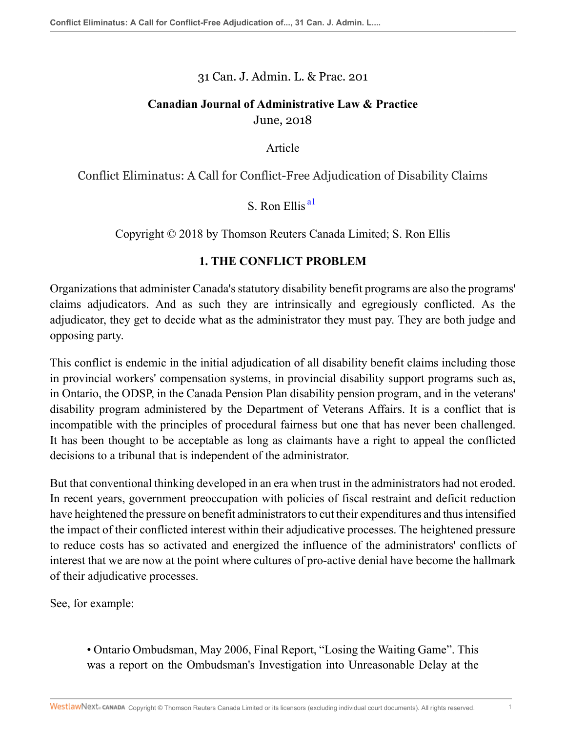31 Can. J. Admin. L. & Prac. 201

## **Canadian Journal of Administrative Law & Practice** June, 2018

Article

Conflict Eliminatus: A Call for Conflict-Free Adjudication of Disability Claims

<span id="page-0-0"></span> $S$ . Ron Ellis  $a<sup>1</sup>$ 

Copyright © 2018 by Thomson Reuters Canada Limited; S. Ron Ellis

## **1. THE CONFLICT PROBLEM**

Organizations that administer Canada's statutory disability benefit programs are also the programs' claims adjudicators. And as such they are intrinsically and egregiously conflicted. As the adjudicator, they get to decide what as the administrator they must pay. They are both judge and opposing party.

This conflict is endemic in the initial adjudication of all disability benefit claims including those in provincial workers' compensation systems, in provincial disability support programs such as, in Ontario, the ODSP, in the Canada Pension Plan disability pension program, and in the veterans' disability program administered by the Department of Veterans Affairs. It is a conflict that is incompatible with the principles of procedural fairness but one that has never been challenged. It has been thought to be acceptable as long as claimants have a right to appeal the conflicted decisions to a tribunal that is independent of the administrator.

But that conventional thinking developed in an era when trust in the administrators had not eroded. In recent years, government preoccupation with policies of fiscal restraint and deficit reduction have heightened the pressure on benefit administrators to cut their expenditures and thus intensified the impact of their conflicted interest within their adjudicative processes. The heightened pressure to reduce costs has so activated and energized the influence of the administrators' conflicts of interest that we are now at the point where cultures of pro-active denial have become the hallmark of their adjudicative processes.

See, for example:

• Ontario Ombudsman, May 2006, Final Report, "Losing the Waiting Game". This was a report on the Ombudsman's Investigation into Unreasonable Delay at the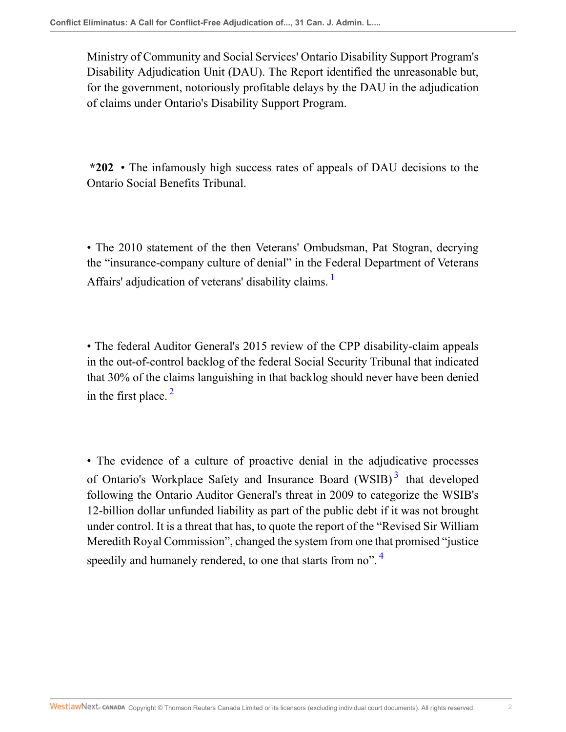Ministry of Community and Social Services' Ontario Disability Support Program's Disability Adjudication Unit (DAU). The Report identified the unreasonable but, for the government, notoriously profitable delays by the DAU in the adjudication of claims under Ontario's Disability Support Program.

**\*202** • The infamously high success rates of appeals of DAU decisions to the Ontario Social Benefits Tribunal.

<span id="page-1-0"></span>• The 2010 statement of the then Veterans' Ombudsman, Pat Stogran, decrying the "insurance-company culture of denial" in the Federal Department of Veterans Affairs' adjudication of veterans' disability claims.<sup>[1](#page-7-1)</sup>

<span id="page-1-1"></span>• The federal Auditor General's 2015 review of the CPP disability-claim appeals in the out-of-control backlog of the federal Social Security Tribunal that indicated that 30% of the claims languishing in that backlog should never have been denied in the first place.  $2^2$  $2^2$ 

<span id="page-1-3"></span><span id="page-1-2"></span>• The evidence of a culture of proactive denial in the adjudicative processes of Ontario's Workplace Safety and Insurance Board (WSIB)<sup>[3](#page-7-3)</sup> that developed following the Ontario Auditor General's threat in 2009 to categorize the WSIB's 12-billion dollar unfunded liability as part of the public debt if it was not brought under control. It is a threat that has, to quote the report of the "Revised Sir William Meredith Royal Commission", changed the system from one that promised "justice speedily and humanely rendered, to one that starts from no".<sup>[4](#page-7-4)</sup>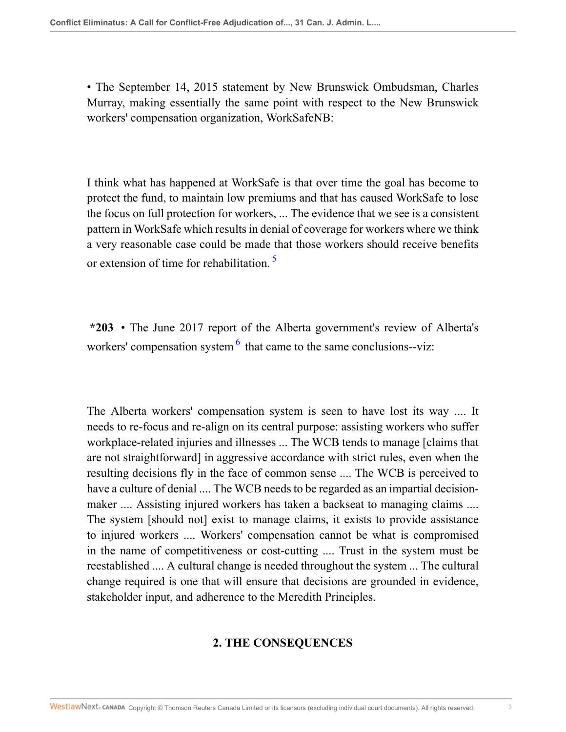• The September 14, 2015 statement by New Brunswick Ombudsman, Charles Murray, making essentially the same point with respect to the New Brunswick workers' compensation organization, WorkSafeNB:

I think what has happened at WorkSafe is that over time the goal has become to protect the fund, to maintain low premiums and that has caused WorkSafe to lose the focus on full protection for workers, ... The evidence that we see is a consistent pattern in WorkSafe which results in denial of coverage for workers where we think a very reasonable case could be made that those workers should receive benefits or extension of time for rehabilitation.<sup>[5](#page-7-5)</sup>

<span id="page-2-1"></span><span id="page-2-0"></span>**\*203** • The June 2017 report of the Alberta government's review of Alberta's workers' compensation system  $6$  that came to the same conclusions--viz:

The Alberta workers' compensation system is seen to have lost its way .... It needs to re-focus and re-align on its central purpose: assisting workers who suffer workplace-related injuries and illnesses ... The WCB tends to manage [claims that are not straightforward] in aggressive accordance with strict rules, even when the resulting decisions fly in the face of common sense .... The WCB is perceived to have a culture of denial .... The WCB needs to be regarded as an impartial decisionmaker .... Assisting injured workers has taken a backseat to managing claims .... The system [should not] exist to manage claims, it exists to provide assistance to injured workers .... Workers' compensation cannot be what is compromised in the name of competitiveness or cost-cutting .... Trust in the system must be reestablished .... A cultural change is needed throughout the system ... The cultural change required is one that will ensure that decisions are grounded in evidence, stakeholder input, and adherence to the Meredith Principles.

# **2. THE CONSEQUENCES**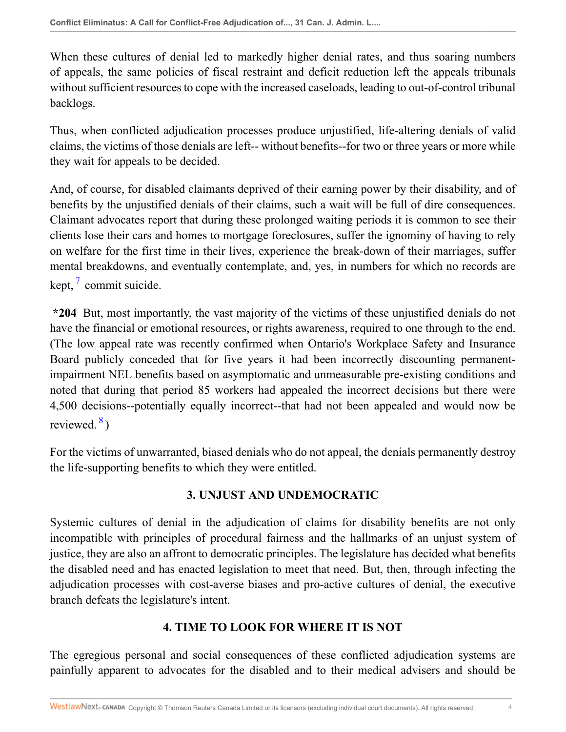When these cultures of denial led to markedly higher denial rates, and thus soaring numbers of appeals, the same policies of fiscal restraint and deficit reduction left the appeals tribunals without sufficient resources to cope with the increased caseloads, leading to out-of-control tribunal backlogs.

Thus, when conflicted adjudication processes produce unjustified, life-altering denials of valid claims, the victims of those denials are left-- without benefits--for two or three years or more while they wait for appeals to be decided.

And, of course, for disabled claimants deprived of their earning power by their disability, and of benefits by the unjustified denials of their claims, such a wait will be full of dire consequences. Claimant advocates report that during these prolonged waiting periods it is common to see their clients lose their cars and homes to mortgage foreclosures, suffer the ignominy of having to rely on welfare for the first time in their lives, experience the break-down of their marriages, suffer mental breakdowns, and eventually contemplate, and, yes, in numbers for which no records are kept,  $\frac{7}{7}$  $\frac{7}{7}$  $\frac{7}{7}$  commit suicide.

<span id="page-3-0"></span>**\*204** But, most importantly, the vast majority of the victims of these unjustified denials do not have the financial or emotional resources, or rights awareness, required to one through to the end. (The low appeal rate was recently confirmed when Ontario's Workplace Safety and Insurance Board publicly conceded that for five years it had been incorrectly discounting permanentimpairment NEL benefits based on asymptomatic and unmeasurable pre-existing conditions and noted that during that period 85 workers had appealed the incorrect decisions but there were 4,500 decisions--potentially equally incorrect--that had not been appealed and would now be reviewed. $\frac{8}{2}$  $\frac{8}{2}$  $\frac{8}{2}$ )

<span id="page-3-1"></span>For the victims of unwarranted, biased denials who do not appeal, the denials permanently destroy the life-supporting benefits to which they were entitled.

### **3. UNJUST AND UNDEMOCRATIC**

Systemic cultures of denial in the adjudication of claims for disability benefits are not only incompatible with principles of procedural fairness and the hallmarks of an unjust system of justice, they are also an affront to democratic principles. The legislature has decided what benefits the disabled need and has enacted legislation to meet that need. But, then, through infecting the adjudication processes with cost-averse biases and pro-active cultures of denial, the executive branch defeats the legislature's intent.

# **4. TIME TO LOOK FOR WHERE IT IS NOT**

The egregious personal and social consequences of these conflicted adjudication systems are painfully apparent to advocates for the disabled and to their medical advisers and should be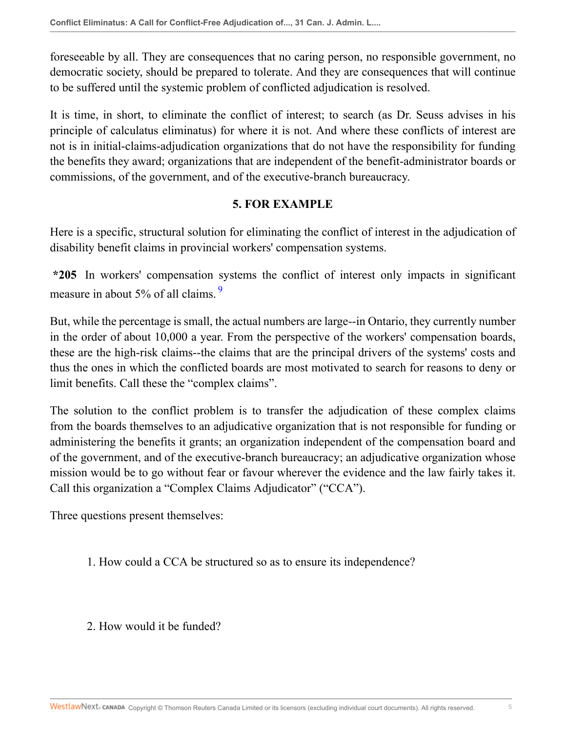foreseeable by all. They are consequences that no caring person, no responsible government, no democratic society, should be prepared to tolerate. And they are consequences that will continue to be suffered until the systemic problem of conflicted adjudication is resolved.

It is time, in short, to eliminate the conflict of interest; to search (as Dr. Seuss advises in his principle of calculatus eliminatus) for where it is not. And where these conflicts of interest are not is in initial-claims-adjudication organizations that do not have the responsibility for funding the benefits they award; organizations that are independent of the benefit-administrator boards or commissions, of the government, and of the executive-branch bureaucracy.

### <span id="page-4-0"></span>**5. FOR EXAMPLE**

Here is a specific, structural solution for eliminating the conflict of interest in the adjudication of disability benefit claims in provincial workers' compensation systems.

**\*205** In workers' compensation systems the conflict of interest only impacts in significant measure in about 5% of all claims.<sup>[9](#page-7-9)</sup>

But, while the percentage is small, the actual numbers are large--in Ontario, they currently number in the order of about 10,000 a year. From the perspective of the workers' compensation boards, these are the high-risk claims--the claims that are the principal drivers of the systems' costs and thus the ones in which the conflicted boards are most motivated to search for reasons to deny or limit benefits. Call these the "complex claims".

The solution to the conflict problem is to transfer the adjudication of these complex claims from the boards themselves to an adjudicative organization that is not responsible for funding or administering the benefits it grants; an organization independent of the compensation board and of the government, and of the executive-branch bureaucracy; an adjudicative organization whose mission would be to go without fear or favour wherever the evidence and the law fairly takes it. Call this organization a "Complex Claims Adjudicator" ("CCA").

Three questions present themselves:

1. How could a CCA be structured so as to ensure its independence?

2. How would it be funded?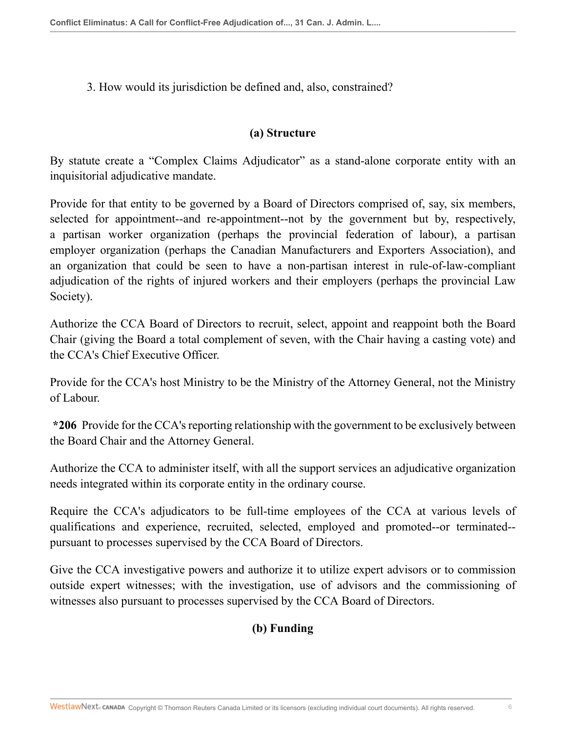3. How would its jurisdiction be defined and, also, constrained?

#### **(a) Structure**

By statute create a "Complex Claims Adjudicator" as a stand-alone corporate entity with an inquisitorial adjudicative mandate.

Provide for that entity to be governed by a Board of Directors comprised of, say, six members, selected for appointment--and re-appointment--not by the government but by, respectively, a partisan worker organization (perhaps the provincial federation of labour), a partisan employer organization (perhaps the Canadian Manufacturers and Exporters Association), and an organization that could be seen to have a non-partisan interest in rule-of-law-compliant adjudication of the rights of injured workers and their employers (perhaps the provincial Law Society).

Authorize the CCA Board of Directors to recruit, select, appoint and reappoint both the Board Chair (giving the Board a total complement of seven, with the Chair having a casting vote) and the CCA's Chief Executive Officer.

Provide for the CCA's host Ministry to be the Ministry of the Attorney General, not the Ministry of Labour.

**\*206** Provide for the CCA's reporting relationship with the government to be exclusively between the Board Chair and the Attorney General.

Authorize the CCA to administer itself, with all the support services an adjudicative organization needs integrated within its corporate entity in the ordinary course.

Require the CCA's adjudicators to be full-time employees of the CCA at various levels of qualifications and experience, recruited, selected, employed and promoted--or terminated- pursuant to processes supervised by the CCA Board of Directors.

Give the CCA investigative powers and authorize it to utilize expert advisors or to commission outside expert witnesses; with the investigation, use of advisors and the commissioning of witnesses also pursuant to processes supervised by the CCA Board of Directors.

# **(b) Funding**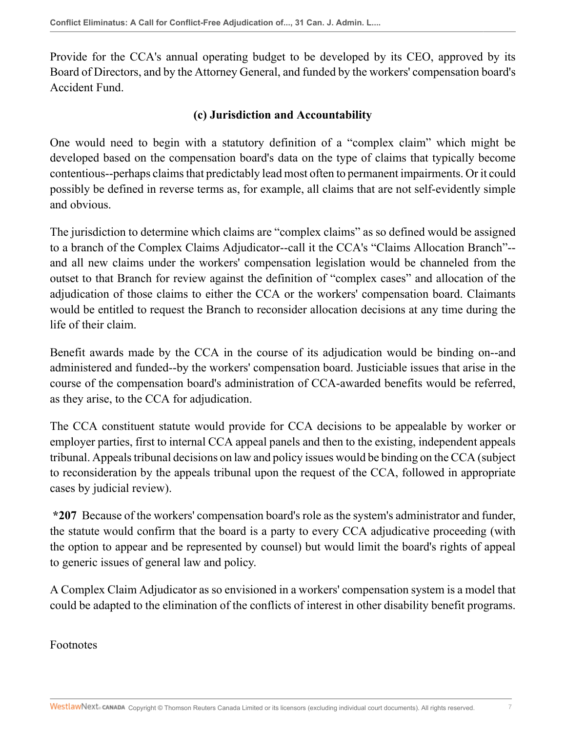Provide for the CCA's annual operating budget to be developed by its CEO, approved by its Board of Directors, and by the Attorney General, and funded by the workers' compensation board's Accident Fund.

### **(c) Jurisdiction and Accountability**

One would need to begin with a statutory definition of a "complex claim" which might be developed based on the compensation board's data on the type of claims that typically become contentious--perhaps claims that predictably lead most often to permanent impairments. Or it could possibly be defined in reverse terms as, for example, all claims that are not self-evidently simple and obvious.

The jurisdiction to determine which claims are "complex claims" as so defined would be assigned to a branch of the Complex Claims Adjudicator--call it the CCA's "Claims Allocation Branch"- and all new claims under the workers' compensation legislation would be channeled from the outset to that Branch for review against the definition of "complex cases" and allocation of the adjudication of those claims to either the CCA or the workers' compensation board. Claimants would be entitled to request the Branch to reconsider allocation decisions at any time during the life of their claim.

Benefit awards made by the CCA in the course of its adjudication would be binding on--and administered and funded--by the workers' compensation board. Justiciable issues that arise in the course of the compensation board's administration of CCA-awarded benefits would be referred, as they arise, to the CCA for adjudication.

The CCA constituent statute would provide for CCA decisions to be appealable by worker or employer parties, first to internal CCA appeal panels and then to the existing, independent appeals tribunal. Appeals tribunal decisions on law and policy issues would be binding on the CCA (subject to reconsideration by the appeals tribunal upon the request of the CCA, followed in appropriate cases by judicial review).

**\*207** Because of the workers' compensation board's role as the system's administrator and funder, the statute would confirm that the board is a party to every CCA adjudicative proceeding (with the option to appear and be represented by counsel) but would limit the board's rights of appeal to generic issues of general law and policy.

A Complex Claim Adjudicator as so envisioned in a workers' compensation system is a model that could be adapted to the elimination of the conflicts of interest in other disability benefit programs.

Footnotes